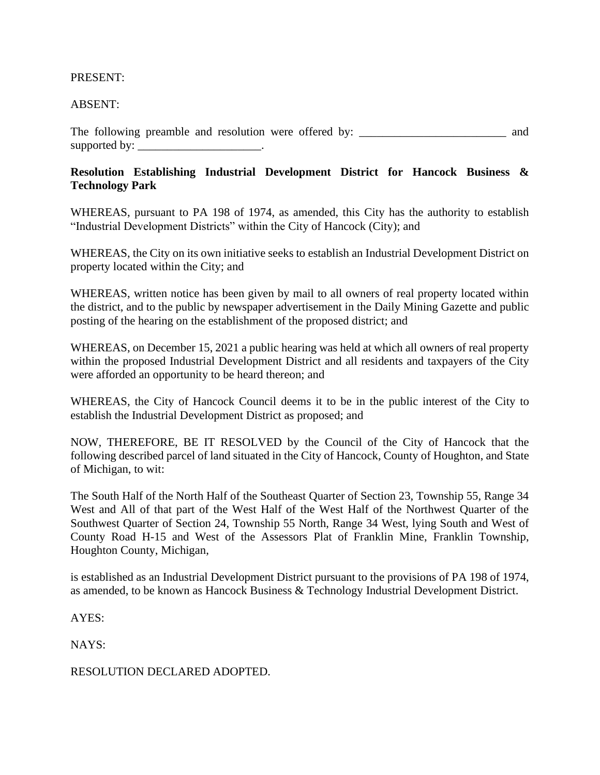## PRESENT:

## ABSENT:

The following preamble and resolution were offered by: \_\_\_\_\_\_\_\_\_\_\_\_\_\_\_\_\_\_\_\_\_\_\_\_\_ and supported by: \_\_\_\_\_\_\_\_\_\_\_\_\_\_\_\_\_\_\_\_\_\_\_.

## **Resolution Establishing Industrial Development District for Hancock Business & Technology Park**

WHEREAS, pursuant to PA 198 of 1974, as amended, this City has the authority to establish "Industrial Development Districts" within the City of Hancock (City); and

WHEREAS, the City on its own initiative seeks to establish an Industrial Development District on property located within the City; and

WHEREAS, written notice has been given by mail to all owners of real property located within the district, and to the public by newspaper advertisement in the Daily Mining Gazette and public posting of the hearing on the establishment of the proposed district; and

WHEREAS, on December 15, 2021 a public hearing was held at which all owners of real property within the proposed Industrial Development District and all residents and taxpayers of the City were afforded an opportunity to be heard thereon; and

WHEREAS, the City of Hancock Council deems it to be in the public interest of the City to establish the Industrial Development District as proposed; and

NOW, THEREFORE, BE IT RESOLVED by the Council of the City of Hancock that the following described parcel of land situated in the City of Hancock, County of Houghton, and State of Michigan, to wit:

The South Half of the North Half of the Southeast Quarter of Section 23, Township 55, Range 34 West and All of that part of the West Half of the West Half of the Northwest Quarter of the Southwest Quarter of Section 24, Township 55 North, Range 34 West, lying South and West of County Road H-15 and West of the Assessors Plat of Franklin Mine, Franklin Township, Houghton County, Michigan,

is established as an Industrial Development District pursuant to the provisions of PA 198 of 1974, as amended, to be known as Hancock Business & Technology Industrial Development District.

AYES:

NAYS:

RESOLUTION DECLARED ADOPTED.